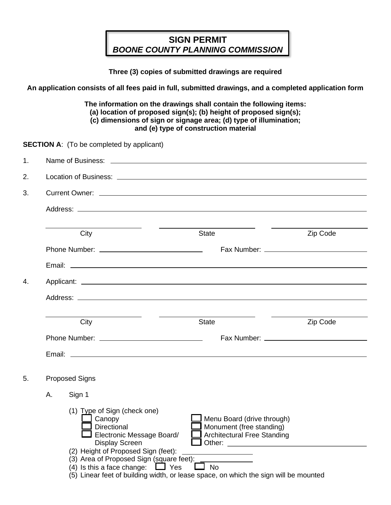## **SIGN PERMIT** *BOONE COUNTY PLANNING COMMISSION*

**Three (3) copies of submitted drawings are required**

**An application consists of all fees paid in full, submitted drawings, and a completed application form**

**The information on the drawings shall contain the following items: (a) location of proposed sign(s); (b) height of proposed sign(s); (c) dimensions of sign or signage area; (d) type of illumination; and (e) type of construction material**

**SECTION A:** (To be completed by applicant)

| 1. |    |                                                                                                                                                                                                                                                                                                                                                                                                                                                                                                                     |                                                                                                                                                      |          |  |  |  |  |
|----|----|---------------------------------------------------------------------------------------------------------------------------------------------------------------------------------------------------------------------------------------------------------------------------------------------------------------------------------------------------------------------------------------------------------------------------------------------------------------------------------------------------------------------|------------------------------------------------------------------------------------------------------------------------------------------------------|----------|--|--|--|--|
| 2. |    |                                                                                                                                                                                                                                                                                                                                                                                                                                                                                                                     |                                                                                                                                                      |          |  |  |  |  |
| 3. |    |                                                                                                                                                                                                                                                                                                                                                                                                                                                                                                                     |                                                                                                                                                      |          |  |  |  |  |
|    |    |                                                                                                                                                                                                                                                                                                                                                                                                                                                                                                                     |                                                                                                                                                      |          |  |  |  |  |
|    |    | $\frac{1}{2} \left( \frac{1}{2} \right) \left( \frac{1}{2} \right) \left( \frac{1}{2} \right) \left( \frac{1}{2} \right) \left( \frac{1}{2} \right) \left( \frac{1}{2} \right) \left( \frac{1}{2} \right) \left( \frac{1}{2} \right) \left( \frac{1}{2} \right) \left( \frac{1}{2} \right) \left( \frac{1}{2} \right) \left( \frac{1}{2} \right) \left( \frac{1}{2} \right) \left( \frac{1}{2} \right) \left( \frac{1}{2} \right) \left( \frac{1}{2} \right) \left( \frac$<br><u> El antiga de la conte</u><br>City | <b>State</b>                                                                                                                                         | Zip Code |  |  |  |  |
|    |    |                                                                                                                                                                                                                                                                                                                                                                                                                                                                                                                     |                                                                                                                                                      |          |  |  |  |  |
|    |    |                                                                                                                                                                                                                                                                                                                                                                                                                                                                                                                     |                                                                                                                                                      |          |  |  |  |  |
| 4. |    |                                                                                                                                                                                                                                                                                                                                                                                                                                                                                                                     |                                                                                                                                                      |          |  |  |  |  |
|    |    |                                                                                                                                                                                                                                                                                                                                                                                                                                                                                                                     |                                                                                                                                                      |          |  |  |  |  |
|    |    |                                                                                                                                                                                                                                                                                                                                                                                                                                                                                                                     |                                                                                                                                                      |          |  |  |  |  |
|    |    | City                                                                                                                                                                                                                                                                                                                                                                                                                                                                                                                | <b>State</b>                                                                                                                                         | Zip Code |  |  |  |  |
|    |    |                                                                                                                                                                                                                                                                                                                                                                                                                                                                                                                     |                                                                                                                                                      |          |  |  |  |  |
|    |    |                                                                                                                                                                                                                                                                                                                                                                                                                                                                                                                     |                                                                                                                                                      |          |  |  |  |  |
| 5. |    | <b>Proposed Signs</b>                                                                                                                                                                                                                                                                                                                                                                                                                                                                                               |                                                                                                                                                      |          |  |  |  |  |
|    | Α. | Sign 1                                                                                                                                                                                                                                                                                                                                                                                                                                                                                                              |                                                                                                                                                      |          |  |  |  |  |
|    |    | (1) Type of Sign (check one)<br>Canopy<br>Directional<br>Electronic Message Board/<br><b>Display Screen</b><br>(2) Height of Proposed Sign (feet):<br>(3) Area of Proposed Sign (square feet):<br>(4) Is this a face change: $\Box$ Yes<br>(5) Linear feet of building width, or lease space, on which the sign will be mounted                                                                                                                                                                                     | Menu Board (drive through)<br>Monument (free standing)<br><b>Architectural Free Standing</b><br><u> 1989 - Johann Barbara, martin a</u><br>$\Box$ No |          |  |  |  |  |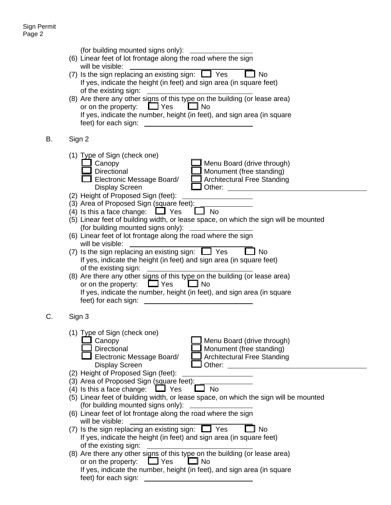|    | (for building mounted signs only): __________<br>(6) Linear feet of lot frontage along the road where the sign<br>will be visible:<br>(7) Is the sign replacing an existing sign: $\Box$ Yes<br><b>No</b><br>If yes, indicate the height (in feet) and sign area (in square feet)<br>of the existing sign:<br>(8) Are there any other signs of this type on the building (or lease area)<br>$\Box$ Yes<br>or on the property:<br>$\Box$ No<br>If yes, indicate the number, height (in feet), and sign area (in square<br>feet) for each sign:<br><u>and the state of the state of the state of the state of the state of the state of the state of the state of the state of the state of the state of the state of the state of the state of the state of the state of the state</u>                                                                                                                                                                                                                                                                                                                       |
|----|-------------------------------------------------------------------------------------------------------------------------------------------------------------------------------------------------------------------------------------------------------------------------------------------------------------------------------------------------------------------------------------------------------------------------------------------------------------------------------------------------------------------------------------------------------------------------------------------------------------------------------------------------------------------------------------------------------------------------------------------------------------------------------------------------------------------------------------------------------------------------------------------------------------------------------------------------------------------------------------------------------------------------------------------------------------------------------------------------------------|
| В. | Sign 2                                                                                                                                                                                                                                                                                                                                                                                                                                                                                                                                                                                                                                                                                                                                                                                                                                                                                                                                                                                                                                                                                                      |
|    | (1) Type of Sign (check one)<br>Canopy<br>Menu Board (drive through)<br>Directional<br>Monument (free standing)<br>Electronic Message Board/<br><b>Architectural Free Standing</b><br><b>Display Screen</b><br>(2) Height of Proposed Sign (feet):<br>(3) Area of Proposed Sign (square feet):<br><b>No</b><br>(4) Is this a face change: $\Box$ Yes<br>(5) Linear feet of building width, or lease space, on which the sign will be mounted<br>(for building mounted signs only):<br>(6) Linear feet of lot frontage along the road where the sign<br>will be visible:<br>(7) Is the sign replacing an existing sign: $\Box$ Yes<br><b>No</b><br>If yes, indicate the height (in feet) and sign area (in square feet)<br>of the existing sign:<br>(8) Are there any other signs of this type on the building (or lease area)<br>or on the property: $\Box$ Yes<br>∟l No<br>If yes, indicate the number, height (in feet), and sign area (in square<br>feet) for each sign:                                                                                                                                 |
| C. | Sign 3                                                                                                                                                                                                                                                                                                                                                                                                                                                                                                                                                                                                                                                                                                                                                                                                                                                                                                                                                                                                                                                                                                      |
|    | (1) Type of Sign (check one)<br>Canopy<br>Menu Board (drive through)<br>Directional<br>Monument (free standing)<br>Electronic Message Board/<br><b>Architectural Free Standing</b><br><b>Display Screen</b><br>(2) Height of Proposed Sign (feet):<br>(3) Area of Proposed Sign (square feet):<br>$\Box$ Yes<br>(4) Is this a face change:<br>No<br>(5) Linear feet of building width, or lease space, on which the sign will be mounted<br>(for building mounted signs only):<br>(6) Linear feet of lot frontage along the road where the sign<br>will be visible:<br>(7) Is the sign replacing an existing sign: $\Box$ Yes<br><b>No</b><br>If yes, indicate the height (in feet) and sign area (in square feet)<br>of the existing sign:<br>(8) Are there any other signs of this type on the building (or lease area)<br>$\sqcup$ Yes<br>or on the property:<br>$\blacksquare$ No<br>If yes, indicate the number, height (in feet), and sign area (in square<br>feet) for each sign:<br>the contract of the contract of the contract of the contract of the contract of the contract of the contract of |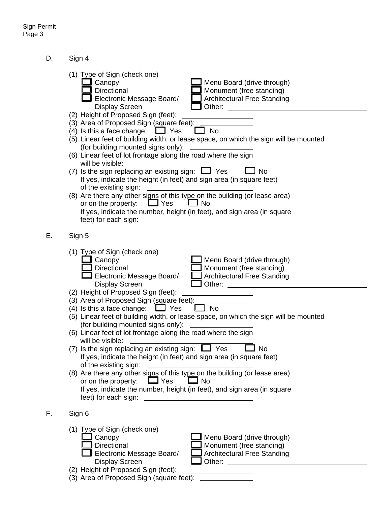$E$ .

F.

D. Sign 4

| (1) Type of Sign (check one)<br>Canopy<br>Menu Board (drive through)<br>Directional<br>Monument (free standing)<br>Electronic Message Board/<br><b>Architectural Free Standing</b><br><b>Display Screen</b><br>Other: <u>_______________</u>                                                                                                             |  |  |  |  |  |  |
|----------------------------------------------------------------------------------------------------------------------------------------------------------------------------------------------------------------------------------------------------------------------------------------------------------------------------------------------------------|--|--|--|--|--|--|
| (2) Height of Proposed Sign (feet):<br>(3) Area of Proposed Sign (square feet):<br>(4) Is this a face change:<br>$\Box$ Yes<br>No<br>(5) Linear feet of building width, or lease space, on which the sign will be mounted<br>(for building mounted signs only):                                                                                          |  |  |  |  |  |  |
| (6) Linear feet of lot frontage along the road where the sign<br>will be visible:                                                                                                                                                                                                                                                                        |  |  |  |  |  |  |
| (7) Is the sign replacing an existing sign: $\Box$ Yes<br><b>No</b><br>If yes, indicate the height (in feet) and sign area (in square feet)<br>of the existing sign:                                                                                                                                                                                     |  |  |  |  |  |  |
| (8) Are there any other signs of this type on the building (or lease area)<br>or on the property: $\Box$ Yes<br>∟⊒ No<br>If yes, indicate the number, height (in feet), and sign area (in square<br>feet) for each sign:                                                                                                                                 |  |  |  |  |  |  |
| Sign 5                                                                                                                                                                                                                                                                                                                                                   |  |  |  |  |  |  |
| (1) Type of Sign (check one)<br>Menu Board (drive through)<br>Canopy<br>Directional<br>Monument (free standing)<br>Electronic Message Board/<br><b>Architectural Free Standing</b><br><b>Display Screen</b><br>Other:<br><u> 1990 - Johann Barbara, martin a</u>                                                                                         |  |  |  |  |  |  |
| (2) Height of Proposed Sign (feet):<br>(3) Area of Proposed Sign (square feet):<br>(4) Is this a face change: $\Box$ Yes<br>$\Box$ No<br>(5) Linear feet of building width, or lease space, on which the sign will be mounted<br>(for building mounted signs only):<br>(6) Linear feet of lot frontage along the road where the sign<br>will be visible: |  |  |  |  |  |  |
| (7) Is the sign replacing an existing sign: $\Box$ Yes<br>No<br>If yes, indicate the height (in feet) and sign area (in square feet)<br>of the existing sign:                                                                                                                                                                                            |  |  |  |  |  |  |
| (8) Are there any other signs of this type on the building (or lease area)<br>∃ Yes<br>or on the property:<br>$\Box$ No<br>If yes, indicate the number, height (in feet), and sign area (in square<br>feet) for each sign:<br>the control of the control of the control of the control of the control of                                                 |  |  |  |  |  |  |
| Sign 6                                                                                                                                                                                                                                                                                                                                                   |  |  |  |  |  |  |
| (1) Type of Sign (check one)<br>Canopy<br>Menu Board (drive through)<br>Directional<br>Monument (free standing)<br>Electronic Message Board/<br><b>Architectural Free Standing</b><br><b>Display Screen</b>                                                                                                                                              |  |  |  |  |  |  |
| (2) Height of Proposed Sign (feet):<br>(3) Area of Proposed Sign (square feet):                                                                                                                                                                                                                                                                          |  |  |  |  |  |  |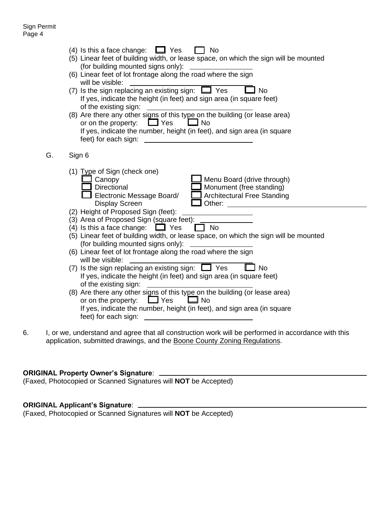|    | $\Box$ Yes<br>(4) Is this a face change:<br><b>No</b><br>(5) Linear feet of building width, or lease space, on which the sign will be mounted<br>(for building mounted signs only):<br>(6) Linear feet of lot frontage along the road where the sign<br>will be visible:<br>(7) Is the sign replacing an existing sign: $\Box$ Yes<br><b>No</b><br>If yes, indicate the height (in feet) and sign area (in square feet)<br>of the existing sign:<br>(8) Are there any other signs of this type on the building (or lease area)<br>or on the property: $\Box$ Yes<br>$\Box$ No<br>If yes, indicate the number, height (in feet), and sign area (in square<br>feet) for each sign:<br>the control of the control of the control of the control of the control of the control of                                                                                                                                                                                                                                          |
|----|------------------------------------------------------------------------------------------------------------------------------------------------------------------------------------------------------------------------------------------------------------------------------------------------------------------------------------------------------------------------------------------------------------------------------------------------------------------------------------------------------------------------------------------------------------------------------------------------------------------------------------------------------------------------------------------------------------------------------------------------------------------------------------------------------------------------------------------------------------------------------------------------------------------------------------------------------------------------------------------------------------------------|
| G. | Sign 6                                                                                                                                                                                                                                                                                                                                                                                                                                                                                                                                                                                                                                                                                                                                                                                                                                                                                                                                                                                                                 |
|    | (1) Type of Sign (check one)<br>Canopy<br>Menu Board (drive through)<br>Monument (free standing)<br>Directional<br>Architectural Free Standing<br>Electronic Message Board/<br><b>Display Screen</b><br>Other:<br>(2) Height of Proposed Sign (feet):<br>(3) Area of Proposed Sign (square feet):<br>(4) Is this a face change:<br>$\Box$ Yes<br>l No<br>(5) Linear feet of building width, or lease space, on which the sign will be mounted<br>(for building mounted signs only):<br><u> 1989 - Jan Sterlingen (</u><br>(6) Linear feet of lot frontage along the road where the sign<br>will be visible:<br>(7) Is the sign replacing an existing sign: $\Box$ Yes<br><b>No</b><br>If yes, indicate the height (in feet) and sign area (in square feet)<br>of the existing sign:<br>(8) Are there any other signs of this type on the building (or lease area)<br>$\Box$ Yes<br>or on the property:<br>$\Box$ No<br>If yes, indicate the number, height (in feet), and sign area (in square<br>feet) for each sign: |

6. I, or we, understand and agree that all construction work will be performed in accordance with this application, submitted drawings, and the Boone County Zoning Regulations.

## **ORIGINAL Property Owner's Signature**:

(Faxed, Photocopied or Scanned Signatures will **NOT** be Accepted)

## **ORIGINAL Applicant's Signature**:

(Faxed, Photocopied or Scanned Signatures will **NOT** be Accepted)